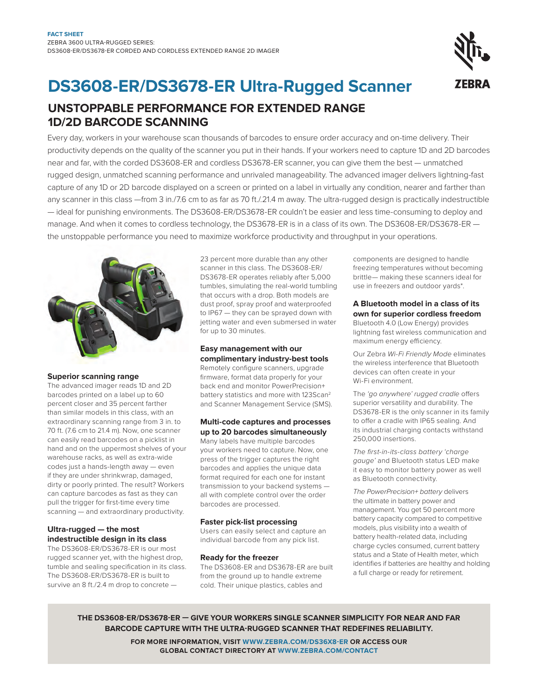# **DS3608-ER/DS3678-ER Ultra-Rugged Scanner**

**UNSTOPPABLE PERFORMANCE FOR EXTENDED RANGE 1D/2D BARCODE SCANNING** 

Every day, workers in your warehouse scan thousands of barcodes to ensure order accuracy and on-time delivery. Their productivity depends on the quality of the scanner you put in their hands. If your workers need to capture 1D and 2D barcodes near and far, with the corded DS3608-ER and cordless DS3678-ER scanner, you can give them the best — unmatched rugged design, unmatched scanning performance and unrivaled manageability. The advanced imager delivers lightning-fast capture of any 1D or 2D barcode displayed on a screen or printed on a label in virtually any condition, nearer and farther than any scanner in this class —from 3 in./7.6 cm to as far as 70 ft./.21.4 m away. The ultra-rugged design is practically indestructible — ideal for punishing environments. The DS3608-ER/DS3678-ER couldn't be easier and less time-consuming to deploy and manage. And when it comes to cordless technology, the DS3678-ER is in a class of its own. The DS3608-ER/DS3678-ER the unstoppable performance you need to maximize workforce productivity and throughput in your operations.



#### **Superior scanning range**

The advanced imager reads 1D and 2D barcodes printed on a label up to 60 percent closer and 35 percent farther than similar models in this class, with an extraordinary scanning range from 3 in. to 70 ft. (7.6 cm to 21.4 m). Now, one scanner can easily read barcodes on a picklist in hand and on the uppermost shelves of your warehouse racks, as well as extra-wide codes just a hands-length away — even if they are under shrinkwrap, damaged, dirty or poorly printed. The result? Workers can capture barcodes as fast as they can pull the trigger for first-time every time scanning — and extraordinary productivity.

### **Ultra-rugged — the most indestructible design in its class**

The DS3608-ER/DS3678-ER is our most rugged scanner yet, with the highest drop, tumble and sealing specification in its class. The DS3608-ER/DS3678-ER is built to survive an 8 ft./2.4 m drop to concrete —

23 percent more durable than any other scanner in this class. The DS3608-ER/ DS3678-ER operates reliably after 5,000 tumbles, simulating the real-world tumbling that occurs with a drop. Both models are dust proof, spray proof and waterproofed to IP67 — they can be sprayed down with jetting water and even submersed in water for up to 30 minutes.

# **Easy management with our complimentary industry-best tools**

Remotely configure scanners, upgrade firmware, format data properly for your back end and monitor PowerPrecision+ battery statistics and more with 123Scan<sup>2</sup> and Scanner Management Service (SMS).

#### **Multi-code captures and processes up to 20 barcodes simultaneously**

Many labels have multiple barcodes your workers need to capture. Now, one press of the trigger captures the right barcodes and applies the unique data format required for each one for instant transmission to your backend systems all with complete control over the order barcodes are processed.

#### **Faster pick-list processing**

Users can easily select and capture an individual barcode from any pick list.

#### **Ready for the freezer**

The DS3608-ER and DS3678-ER are built from the ground up to handle extreme cold. Their unique plastics, cables and

components are designed to handle freezing temperatures without becoming brittle— making these scanners ideal for use in freezers and outdoor yards\*.

# **A Bluetooth model in a class of its own for superior cordless freedom**

Bluetooth 4.0 (Low Energy) provides lightning fast wireless communication and maximum energy efficiency.

Our Zebra *Wi-Fi Friendly Mode* eliminates the wireless interference that Bluetooth devices can often create in your Wi-Fi environment.

The *'go anywhere' rugged cradle* offers superior versatility and durability. The DS3678-ER is the only scanner in its family to offer a cradle with IP65 sealing. And its industrial charging contacts withstand 250,000 insertions.

*The first-in-its-class battery 'charge gauge'* and Bluetooth status LED make it easy to monitor battery power as well as Bluetooth connectivity.

*The PowerPrecision+ battery* delivers the ultimate in battery power and management. You get 50 percent more battery capacity compared to competitive models, plus visibility into a wealth of battery health-related data, including charge cycles consumed, current battery status and a State of Health meter, which identifies if batteries are healthy and holding a full charge or ready for retirement.

**the ds 3608-ER/DS3678-ER — give your workers single sca nner simplicity for near and far barc ode ca pture with the ultra -ru gged sca nner that redef ines re liability.**

> **For more informat ion, visit www.Zebra .com/DS36X8-ER or access our global contact direct ory at www.ze bra .com/contact**